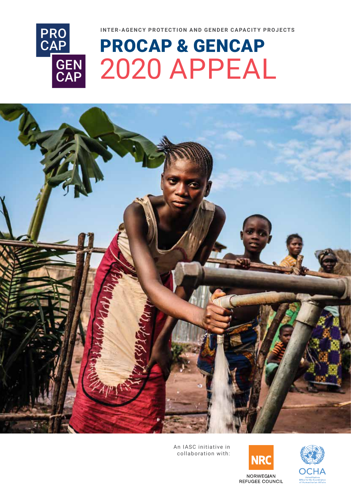



# PROCAP & GENCAP 2020 APPEAL



An IASC initiative in collaboration with:



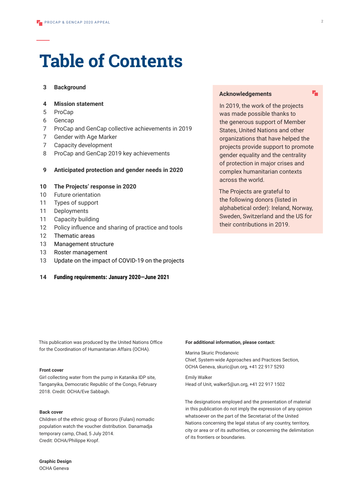# **Table of Contents**

#### **3 Background**

#### **4 Mission statement**

- 5 ProCap
- 6 Gencap
- 7 ProCap and GenCap collective achievements in 2019
- 7 Gender with Age Marker
- 7 Capacity development
- 8 ProCap and GenCap 2019 key achievements

#### **9 Anticipated protection and gender needs in 2020**

#### **10 The Projects' response in 2020**

- 10 Future orientation
- 11 Types of support
- 11 Deployments
- 11 Capacity building
- 12 Policy influence and sharing of practice and tools
- 12 Thematic areas
- 13 Management structure
- 13 Roster management
- 13 Update on the impact of COVID-19 on the projects

#### **14 Funding requirements: January 2020—June 2021**

#### **Acknowledgements**

In 2019, the work of the projects was made possible thanks to the generous support of Member States, United Nations and other organizations that have helped the projects provide support to promote gender equality and the centrality of protection in major crises and complex humanitarian contexts across the world.

The Projects are grateful to the following donors (listed in alphabetical order): Ireland, Norway, Sweden, Switzerland and the US for their contributions in 2019.

This publication was produced by the United Nations Office for the Coordination of Humanitarian Affairs (OCHA).

#### **Front cover**

Girl collecting water from the pump in Katanika IDP site, Tanganyika, Democratic Republic of the Congo, February 2018. Credit: OCHA/Eve Sabbagh.

#### **Back cover**

Children of the ethnic group of Bororo (Fulani) nomadic population watch the voucher distribution. Danamadja temporary camp, Chad, 5 July 2014. Credit: OCHA/Philippe Kropf.

#### **For additional information, please contact:**

Marina Skuric Prodanovic Chief, System-wide Approaches and Practices Section, OCHA Geneva, skuric@un.org, +41 22 917 5293

Emily Walker Head of Unit, walker5@un.org, +41 22 917 1502

The designations employed and the presentation of material in this publication do not imply the expression of any opinion whatsoever on the part of the Secretariat of the United Nations concerning the legal status of any country, territory, city or area or of its authorities, or concerning the delimitation of its frontiers or boundaries.

醋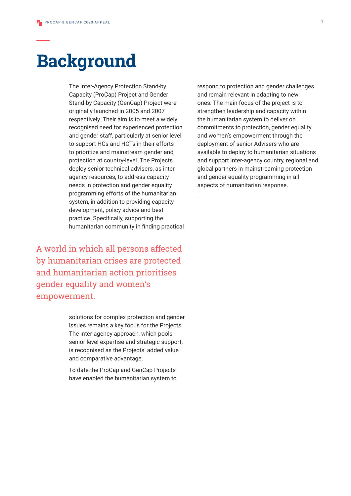# **Background**

The Inter-Agency Protection Stand-by Capacity (ProCap) Project and Gender Stand-by Capacity (GenCap) Project were originally launched in 2005 and 2007 respectively. Their aim is to meet a widely recognised need for experienced protection and gender staff, particularly at senior level, to support HCs and HCTs in their efforts to prioritize and mainstream gender and protection at country-level. The Projects deploy senior technical advisers, as interagency resources, to address capacity needs in protection and gender equality programming efforts of the humanitarian system, in addition to providing capacity development, policy advice and best practice. Specifically, supporting the humanitarian community in finding practical

A world in which all persons affected by humanitarian crises are protected and humanitarian action prioritises gender equality and women's empowerment.

> solutions for complex protection and gender issues remains a key focus for the Projects. The inter-agency approach, which pools senior level expertise and strategic support, is recognised as the Projects' added value and comparative advantage.

To date the ProCap and GenCap Projects have enabled the humanitarian system to

respond to protection and gender challenges and remain relevant in adapting to new ones. The main focus of the project is to strengthen leadership and capacity within the humanitarian system to deliver on commitments to protection, gender equality and women's empowerment through the deployment of senior Advisers who are available to deploy to humanitarian situations and support inter-agency country, regional and global partners in mainstreaming protection and gender equality programming in all aspects of humanitarian response.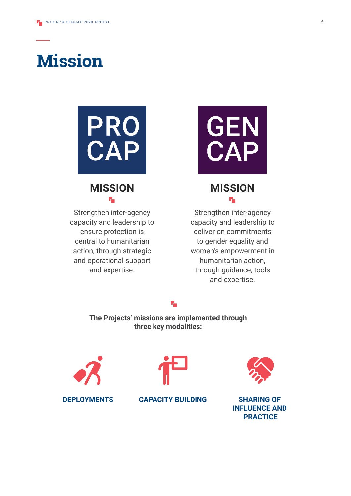



# **MISSION** ۳.

Strengthen inter-agency capacity and leadership to ensure protection is central to humanitarian action, through strategic and operational support and expertise.



# **MISSION** ۳.

Strengthen inter-agency capacity and leadership to deliver on commitments to gender equality and women's empowerment in humanitarian action, through guidance, tools and expertise.

#### ٣.

**The Projects' missions are implemented through three key modalities:**









**INFLUENCE AND PRACTICE**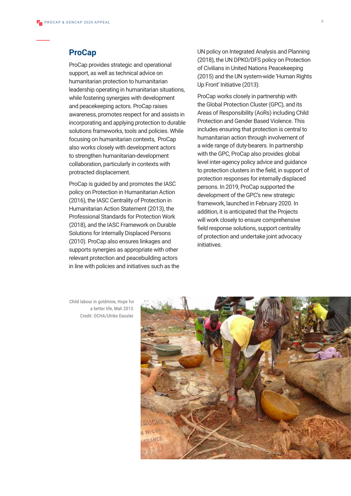### **ProCap**

ProCap provides strategic and operational support, as well as technical advice on humanitarian protection to humanitarian leadership operating in humanitarian situations, while fostering synergies with development and peacekeeping actors. ProCap raises awareness, promotes respect for and assists in incorporating and applying protection to durable solutions frameworks, tools and policies. While focusing on humanitarian contexts, ProCap also works closely with development actors to strengthen humanitarian-development collaboration, particularly in contexts with protracted displacement.

ProCap is guided by and promotes the IASC policy on Protection in Humanitarian Action (2016), the IASC Centrality of Protection in Humanitarian Action Statement (2013), the Professional Standards for Protection Work (2018), and the IASC Framework on Durable Solutions for Internally Displaced Persons (2010). ProCap also ensures linkages and supports synergies as appropriate with other relevant protection and peacebuilding actors in line with policies and initiatives such as the UN policy on Integrated Analysis and Planning (2018), the UN DPKO/DFS policy on Protection of Civilians in United Nations Peacekeeping (2015) and the UN system-wide 'Human Rights Up Front' Initiative (2013).

ProCap works closely in partnership with the Global Protection Cluster (GPC), and its Areas of Responsibility (AoRs) including Child Protection and Gender Based Violence. This includes ensuring that protection is central to humanitarian action through involvement of a wide range of duty-bearers. In partnership with the GPC, ProCap also provides global level inter-agency policy advice and guidance to protection clusters in the field, in support of protection responses for internally displaced persons. In 2019, ProCap supported the development of the GPC's new strategic framework, launched in February 2020. In addition, it is anticipated that the Projects will work closely to ensure comprehensive field response solutions, support centrality of protection and undertake joint advocacy initiatives.

Child labour in goldmine, Hope for a better life, Mali 2013. Credit: OCHA/Ulrike Dassler.

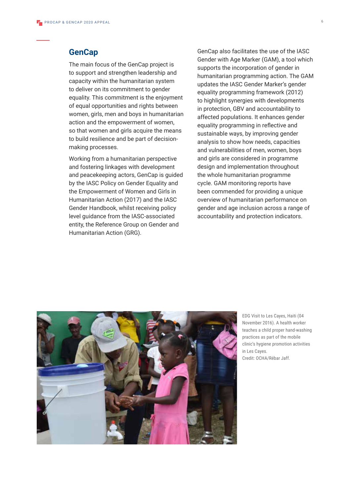#### **GenCap**

The main focus of the GenCap project is to support and strengthen leadership and capacity within the humanitarian system to deliver on its commitment to gender equality. This commitment is the enjoyment of equal opportunities and rights between women, girls, men and boys in humanitarian action and the empowerment of women, so that women and girls acquire the means to build resilience and be part of decisionmaking processes.

Working from a humanitarian perspective and fostering linkages with development and peacekeeping actors, GenCap is guided by the IASC Policy on Gender Equality and the Empowerment of Women and Girls in Humanitarian Action (2017) and the IASC Gender Handbook, whilst receiving policy level guidance from the IASC-associated entity, the Reference Group on Gender and Humanitarian Action (GRG).

GenCap also facilitates the use of the IASC Gender with Age Marker (GAM), a tool which supports the incorporation of gender in humanitarian programming action. The GAM updates the IASC Gender Marker's gender equality programming framework (2012) to highlight synergies with developments in protection, GBV and accountability to affected populations. It enhances gender equality programming in reflective and sustainable ways, by improving gender analysis to show how needs, capacities and vulnerabilities of men, women, boys and girls are considered in programme design and implementation throughout the whole humanitarian programme cycle. GAM monitoring reports have been commended for providing a unique overview of humanitarian performance on gender and age inclusion across a range of accountability and protection indicators.

![](_page_5_Picture_5.jpeg)

EDG Visit to Les Cayes, Haiti (04 November 2016). A health worker teaches a child proper hand-washing practices as part of the mobile clinic's hygiene promotion activities in Les Cayes. Credit: OCHA/Rébar Jaff.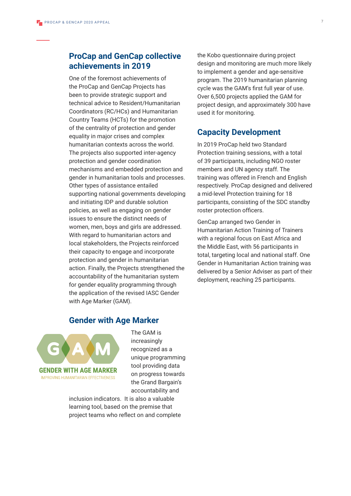## **ProCap and GenCap collective achievements in 2019**

One of the foremost achievements of the ProCap and GenCap Projects has been to provide strategic support and technical advice to Resident/Humanitarian Coordinators (RC/HCs) and Humanitarian Country Teams (HCTs) for the promotion of the centrality of protection and gender equality in major crises and complex humanitarian contexts across the world. The projects also supported inter-agency protection and gender coordination mechanisms and embedded protection and gender in humanitarian tools and processes. Other types of assistance entailed supporting national governments developing and initiating IDP and durable solution policies, as well as engaging on gender issues to ensure the distinct needs of women, men, boys and girls are addressed. With regard to humanitarian actors and local stakeholders, the Projects reinforced their capacity to engage and incorporate protection and gender in humanitarian action. Finally, the Projects strengthened the accountability of the humanitarian system for gender equality programming through the application of the revised IASC Gender with Age Marker (GAM).

the Kobo questionnaire during project design and monitoring are much more likely to implement a gender and age-sensitive program. The 2019 humanitarian planning cycle was the GAM's first full year of use. Over 6,500 projects applied the GAM for project design, and approximately 300 have used it for monitoring.

## **Capacity Development**

In 2019 ProCap held two Standard Protection training sessions, with a total of 39 participants, including NGO roster members and UN agency staff. The training was offered in French and English respectively. ProCap designed and delivered a mid-level Protection training for 18 participants, consisting of the SDC standby roster protection officers.

GenCap arranged two Gender in Humanitarian Action Training of Trainers with a regional focus on East Africa and the Middle East, with 56 participants in total, targeting local and national staff. One Gender in Humanitarian Action training was delivered by a Senior Adviser as part of their deployment, reaching 25 participants.

## **Gender with Age Marker**

![](_page_6_Picture_8.jpeg)

The GAM is increasingly recognized as a unique programming tool providing data on progress towards the Grand Bargain's accountability and

inclusion indicators. It is also a valuable learning tool, based on the premise that project teams who reflect on and complete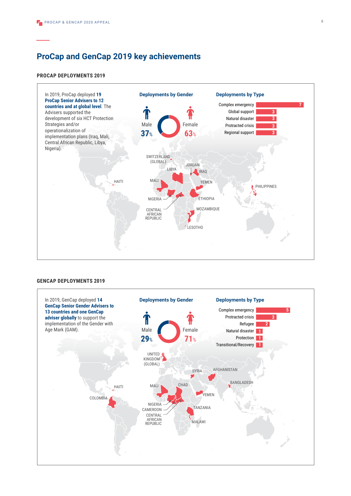# **ProCap and GenCap 2019 key achievements**

#### **PROCAP DEPLOYMENTS 2019**

![](_page_7_Figure_3.jpeg)

#### **GENCAP DEPLOYMENTS 2019**

![](_page_7_Figure_5.jpeg)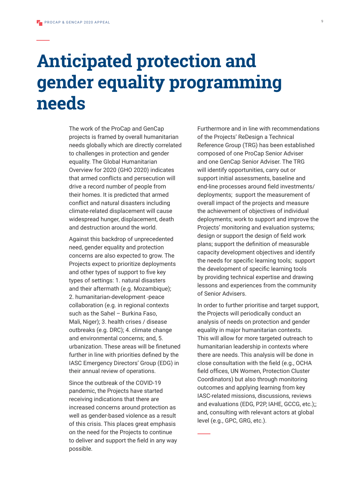# **Anticipated protection and gender equality programming needs**

The work of the ProCap and GenCap projects is framed by overall humanitarian needs globally which are directly correlated to challenges in protection and gender equality. The Global Humanitarian Overview for 2020 (GHO 2020) indicates that armed conflicts and persecution will drive a record number of people from their homes. It is predicted that armed conflict and natural disasters including climate-related displacement will cause widespread hunger, displacement, death and destruction around the world.

Against this backdrop of unprecedented need, gender equality and protection concerns are also expected to grow. The Projects expect to prioritize deployments and other types of support to five key types of settings: 1. natural disasters and their aftermath (e.g. Mozambique); 2. humanitarian-development -peace collaboration (e.g. in regional contexts such as the Sahel - Burkina Faso, Mali, Niger); 3. health crises / disease outbreaks (e.g. DRC); 4. climate change and environmental concerns; and, 5. urbanization. These areas will be finetuned further in line with priorities defined by the IASC Emergency Directors' Group (EDG) in their annual review of operations.

Since the outbreak of the COVID-19 pandemic, the Projects have started receiving indications that there are increased concerns around protection as well as gender-based violence as a result of this crisis. This places great emphasis on the need for the Projects to continue to deliver and support the field in any way possible.

Furthermore and in line with recommendations of the Projects' ReDesign a Technical Reference Group (TRG) has been established composed of one ProCap Senior Adviser and one GenCap Senior Adviser. The TRG will identify opportunities, carry out or support initial assessments, baseline and end-line processes around field investments/ deployments; support the measurement of overall impact of the projects and measure the achievement of objectives of individual deployments; work to support and improve the Projects' monitoring and evaluation systems; design or support the design of field work plans; support the definition of measurable capacity development objectives and identify the needs for specific learning tools; support the development of specific learning tools by providing technical expertise and drawing lessons and experiences from the community of Senior Advisers.

In order to further prioritise and target support, the Projects will periodically conduct an analysis of needs on protection and gender equality in major humanitarian contexts. This will allow for more targeted outreach to humanitarian leadership in contexts where there are needs. This analysis will be done in close consultation with the field (e.g., OCHA field offices, UN Women, Protection Cluster Coordinators) but also through monitoring outcomes and applying learning from key IASC-related missions, discussions, reviews and evaluations (EDG, P2P, IAHE, GCCG, etc.);; and, consulting with relevant actors at global level (e.g., GPC, GRG, etc.).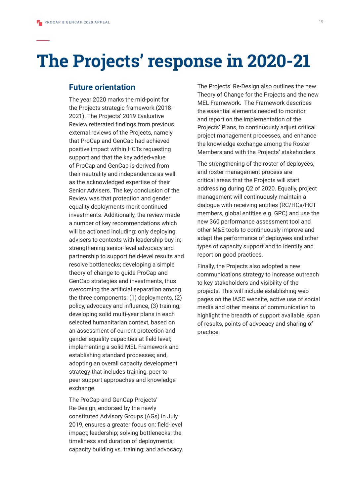# **The Projects' response in 2020-21**

### **Future orientation**

The year 2020 marks the mid-point for the Projects strategic framework (2018- 2021). The Projects' 2019 Evaluative Review reiterated findings from previous external reviews of the Projects, namely that ProCap and GenCap had achieved positive impact within HCTs requesting support and that the key added-value of ProCap and GenCap is derived from their neutrality and independence as well as the acknowledged expertise of their Senior Advisers. The key conclusion of the Review was that protection and gender equality deployments merit continued investments. Additionally, the review made a number of key recommendations which will be actioned including: only deploying advisers to contexts with leadership buy in; strengthening senior-level advocacy and partnership to support field-level results and resolve bottlenecks; developing a simple theory of change to guide ProCap and GenCap strategies and investments, thus overcoming the artificial separation among the three components: (1) deployments, (2) policy, advocacy and influence, (3) training; developing solid multi-year plans in each selected humanitarian context, based on an assessment of current protection and gender equality capacities at field level; implementing a solid MEL Framework and establishing standard processes; and, adopting an overall capacity development strategy that includes training, peer-topeer support approaches and knowledge exchange.

The ProCap and GenCap Projects' Re-Design, endorsed by the newly constituted Advisory Groups (AGs) in July 2019, ensures a greater focus on: field-level impact; leadership; solving bottlenecks; the timeliness and duration of deployments; capacity building vs. training; and advocacy.

The Projects' Re-Design also outlines the new Theory of Change for the Projects and the new MEL Framework. The Framework describes the essential elements needed to monitor and report on the implementation of the Projects' Plans, to continuously adjust critical project management processes, and enhance the knowledge exchange among the Roster Members and with the Projects' stakeholders.

The strengthening of the roster of deployees, and roster management process are critical areas that the Projects will start addressing during Q2 of 2020. Equally, project management will continuously maintain a dialogue with receiving entities (RC/HCs/HCT members, global entities e.g. GPC) and use the new 360 performance assessment tool and other M&E tools to continuously improve and adapt the performance of deployees and other types of capacity support and to identify and report on good practices.

Finally, the Projects also adopted a new communications strategy to increase outreach to key stakeholders and visibility of the projects. This will include establishing web pages on the IASC website, active use of social media and other means of communication to highlight the breadth of support available, span of results, points of advocacy and sharing of practice.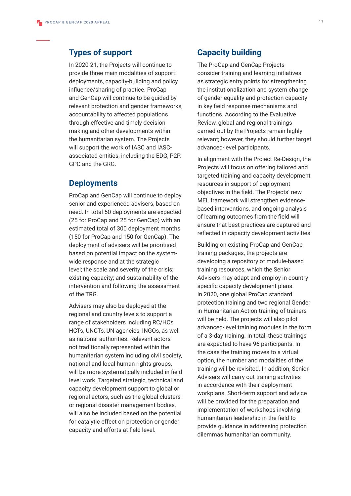### **Types of support**

In 2020-21, the Projects will continue to provide three main modalities of support: deployments, capacity-building and policy influence/sharing of practice. ProCap and GenCap will continue to be guided by relevant protection and gender frameworks, accountability to affected populations through effective and timely decisionmaking and other developments within the humanitarian system. The Projects will support the work of IASC and IASCassociated entities, including the EDG, P2P, GPC and the GRG.

### **Deployments**

ProCap and GenCap will continue to deploy senior and experienced advisers, based on need. In total 50 deployments are expected (25 for ProCap and 25 for GenCap) with an estimated total of 300 deployment months (150 for ProCap and 150 for GenCap). The deployment of advisers will be prioritised based on potential impact on the systemwide response and at the strategic level; the scale and severity of the crisis; existing capacity; and sustainability of the intervention and following the assessment of the TRG.

Advisers may also be deployed at the regional and country levels to support a range of stakeholders including RC/HCs, HCTs, UNCTs, UN agencies, INGOs, as well as national authorities. Relevant actors not traditionally represented within the humanitarian system including civil society, national and local human rights groups, will be more systematically included in field level work. Targeted strategic, technical and capacity development support to global or regional actors, such as the global clusters or regional disaster management bodies, will also be included based on the potential for catalytic effect on protection or gender capacity and efforts at field level.

## **Capacity building**

The ProCap and GenCap Projects consider training and learning initiatives as strategic entry points for strengthening the institutionalization and system change of gender equality and protection capacity in key field response mechanisms and functions. According to the Evaluative Review, global and regional trainings carried out by the Projects remain highly relevant; however, they should further target advanced-level participants.

In alignment with the Project Re-Design, the Projects will focus on offering tailored and targeted training and capacity development resources in support of deployment objectives in the field. The Projects' new MEL framework will strengthen evidencebased interventions, and ongoing analysis of learning outcomes from the field will ensure that best practices are captured and reflected in capacity development activities.

Building on existing ProCap and GenCap training packages, the projects are developing a repository of module-based training resources, which the Senior Advisers may adapt and employ in country specific capacity development plans. In 2020, one global ProCap standard protection training and two regional Gender in Humanitarian Action training of trainers will be held. The projects will also pilot advanced-level training modules in the form of a 3-day training. In total, these trainings are expected to have 96 participants. In the case the training moves to a virtual option, the number and modalities of the training will be revisited. In addition, Senior Advisers will carry out training activities in accordance with their deployment workplans. Short-term support and advice will be provided for the preparation and implementation of workshops involving humanitarian leadership in the field to provide guidance in addressing protection dilemmas humanitarian community.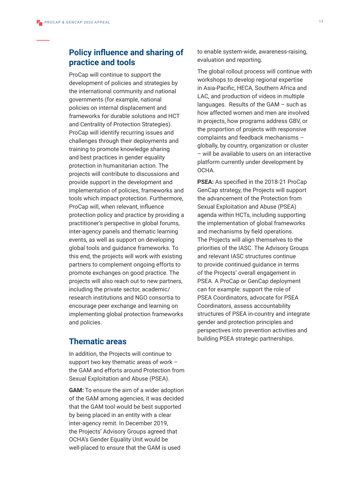## **Policy influence and sharing of practice and tools**

ProCap will continue to support the development of policies and strategies by the international community and national governments (for example, national policies on internal displacement and frameworks for durable solutions and HCT and Centrality of Protection Strategies). ProCap will identify recurring issues and challenges through their deployments and training to promote knowledge sharing and best practices in gender equality protection in humanitarian action. The projects will contribute to discussions and provide support in the development and implementation of policies, frameworks and tools which impact protection. Furthermore, ProCap will, when relevant, influence protection policy and practice by providing a practitioner's perspective in global forums, inter-agency panels and thematic learning events, as well as support on developing global tools and guidance frameworks. To this end, the projects will work with existing partners to complement ongoing efforts to promote exchanges on good practice. The projects will also reach out to new partners, including the private sector, academic/ research institutions and NGO consortia to encourage peer exchange and learning on implementing global protection frameworks and policies.

### **Thematic areas**

In addition, the Projects will continue to support two key thematic areas of work – the GAM and efforts around Protection from Sexual Exploitation and Abuse (PSEA).

**GAM:** To ensure the aim of a wider adoption of the GAM among agencies, it was decided that the GAM tool would be best supported by being placed in an entity with a clear inter-agency remit. In December 2019, the Projects' Advisory Groups agreed that OCHA's Gender Equality Unit would be well-placed to ensure that the GAM is used

to enable system-wide, awareness-raising, evaluation and reporting.

The global rollout process will continue with workshops to develop regional expertise in Asia-Pacific, HECA, Southern Africa and LAC, and production of videos in multiple languages. Results of the GAM – such as how affected women and men are involved in projects, how programs address GBV, or the proportion of projects with responsive complaints and feedback mechanisms – globally, by country, organization or cluster – will be available to users on an interactive platform currently under development by OCHA.

**PSEA:** As specified in the 2018-21 ProCap GenCap strategy, the Projects will support the advancement of the Protection from Sexual Exploitation and Abuse (PSEA) agenda within HCTs, including supporting the implementation of global frameworks and mechanisms by field operations. The Projects will align themselves to the priorities of the IASC. The Advisory Groups and relevant IASC structures continue to provide continued guidance in terms of the Projects' overall engagement in PSEA. A ProCap or GenCap deployment can for example: support the role of PSEA Coordinators, advocate for PSEA Coordinators, assess accountability structures of PSEA in-country and integrate gender and protection principles and perspectives into prevention activities and building PSEA strategic partnerships.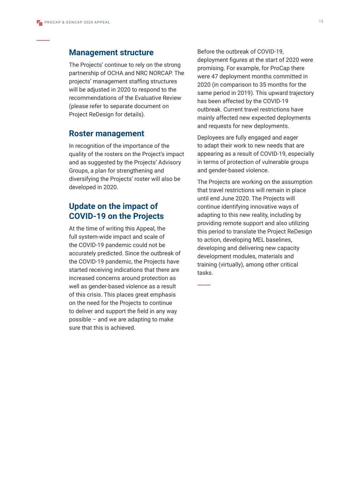#### **Management structure**

The Projects' continue to rely on the strong partnership of OCHA and NRC NORCAP. The projects' management staffing structures will be adjusted in 2020 to respond to the recommendations of the Evaluative Review (please refer to separate document on Project ReDesign for details).

#### **Roster management**

In recognition of the importance of the quality of the rosters on the Project's impact and as suggested by the Projects' Advisory Groups, a plan for strengthening and diversifying the Projects' roster will also be developed in 2020.

## **Update on the impact of COVID-19 on the Projects**

At the time of writing this Appeal, the full system-wide impact and scale of the COVID-19 pandemic could not be accurately predicted. Since the outbreak of the COVID-19 pandemic, the Projects have started receiving indications that there are increased concerns around protection as well as gender-based violence as a result of this crisis. This places great emphasis on the need for the Projects to continue to deliver and support the field in any way possible – and we are adapting to make sure that this is achieved.

Before the outbreak of COVID-19, deployment figures at the start of 2020 were promising. For example, for ProCap there were 47 deployment months committed in 2020 (in comparison to 35 months for the same period in 2019). This upward trajectory has been affected by the COVID-19 outbreak. Current travel restrictions have mainly affected new expected deployments and requests for new deployments.

Deployees are fully engaged and eager to adapt their work to new needs that are appearing as a result of COVID-19, especially in terms of protection of vulnerable groups and gender-based violence.

The Projects are working on the assumption that travel restrictions will remain in place until end June 2020. The Projects will continue identifying innovative ways of adapting to this new reality, including by providing remote support and also utilizing this period to translate the Project ReDesign to action, developing MEL baselines, developing and delivering new capacity development modules, materials and training (virtually), among other critical tasks.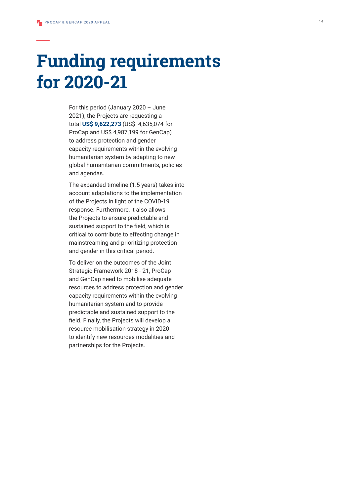# **Funding requirements for 2020-21**

For this period (January 2020 – June 2021), the Projects are requesting a total **US\$ 9,622,273** (US\$ 4,635,074 for ProCap and US\$ 4,987,199 for GenCap) to address protection and gender capacity requirements within the evolving humanitarian system by adapting to new global humanitarian commitments, policies and agendas.

The expanded timeline (1.5 years) takes into account adaptations to the implementation of the Projects in light of the COVID-19 response. Furthermore, it also allows the Projects to ensure predictable and sustained support to the field, which is critical to contribute to effecting change in mainstreaming and prioritizing protection and gender in this critical period.

To deliver on the outcomes of the Joint Strategic Framework 2018 - 21, ProCap and GenCap need to mobilise adequate resources to address protection and gender capacity requirements within the evolving humanitarian system and to provide predictable and sustained support to the field. Finally, the Projects will develop a resource mobilisation strategy in 2020 to identify new resources modalities and partnerships for the Projects.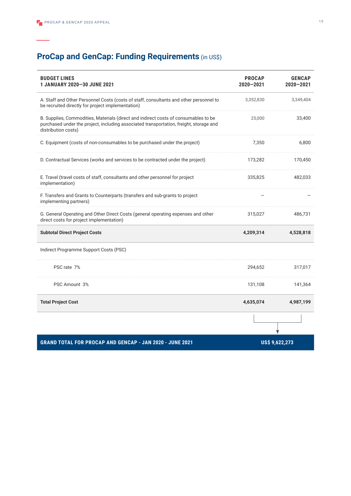# **ProCap and GenCap: Funding Requirements** (in US\$)

| <b>BUDGET LINES</b><br>1 JANUARY 2020-30 JUNE 2021                                                                                                                                                   | <b>PROCAP</b><br>$2020 - 2021$ | <b>GENCAP</b><br>$2020 - 2021$ |
|------------------------------------------------------------------------------------------------------------------------------------------------------------------------------------------------------|--------------------------------|--------------------------------|
| A. Staff and Other Personnel Costs (costs of staff, consultants and other personnel to<br>be recruited directly for project implementation)                                                          | 3,352,830                      | 3,349,404                      |
| B. Supplies, Commodities, Materials (direct and indirect costs of consumables to be<br>purchased under the project, including associated transportation, freight, storage and<br>distribution costs) | 25,000                         | 33,400                         |
| C. Equipment (costs of non-consumables to be purchased under the project)                                                                                                                            | 7,350                          | 6,800                          |
| D. Contractual Services (works and services to be contracted under the project)                                                                                                                      | 173,282                        | 170,450                        |
| E. Travel (travel costs of staff, consultants and other personnel for project<br>implementation)                                                                                                     | 335,825                        | 482.033                        |
| F. Transfers and Grants to Counterparts (transfers and sub-grants to project<br>implementing partners)                                                                                               |                                |                                |
| G. General Operating and Other Direct Costs (general operating expenses and other<br>direct costs for project implementation)                                                                        | 315,027                        | 486,731                        |
| <b>Subtotal Direct Project Costs</b>                                                                                                                                                                 | 4,209,314                      | 4,528,818                      |
| Indirect Programme Support Costs (PSC)                                                                                                                                                               |                                |                                |
| PSC rate 7%                                                                                                                                                                                          | 294,652                        | 317,017                        |
| PSC Amount 3%                                                                                                                                                                                        | 131,108                        | 141,364                        |
| <b>Total Project Cost</b>                                                                                                                                                                            | 4,635,074                      | 4,987,199                      |
|                                                                                                                                                                                                      |                                |                                |
| <b>GRAND TOTAL FOR PROCAP AND GENCAP - JAN 2020 - JUNE 2021</b>                                                                                                                                      | US\$ 9,622,273                 |                                |